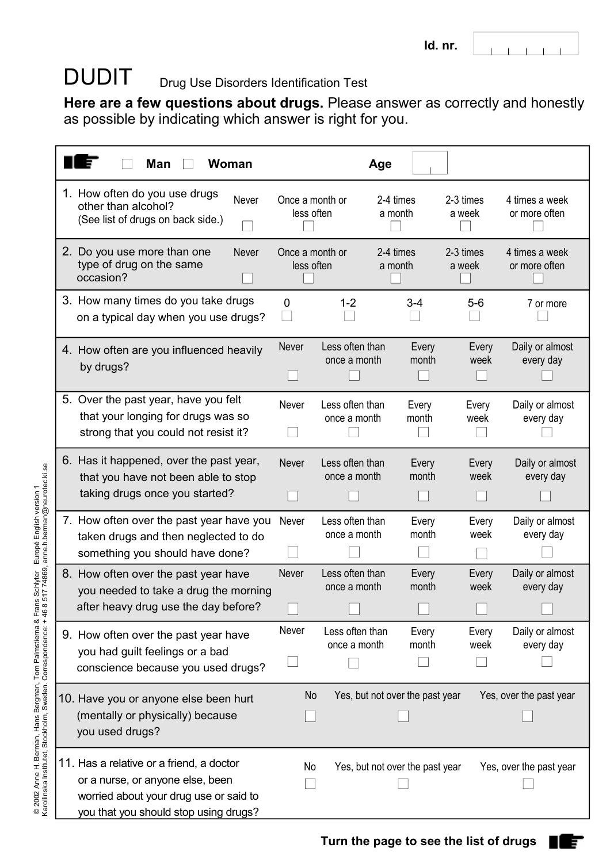#### DUDIT Drug Use Disorders Identification Test

**Here are a few questions about drugs.** Please answer as correctly and honestly as possible by indicating which answer is right for you.

| <b>Man</b><br>Woman                                                                                                                                             |                               |                                       | Age                             |                     |                                 |  |
|-----------------------------------------------------------------------------------------------------------------------------------------------------------------|-------------------------------|---------------------------------------|---------------------------------|---------------------|---------------------------------|--|
| 1. How often do you use drugs<br>Never<br>other than alcohol?<br>(See list of drugs on back side.)                                                              | Once a month or<br>less often |                                       | 2-4 times<br>a month            | 2-3 times<br>a week | 4 times a week<br>or more often |  |
| 2. Do you use more than one<br><b>Never</b><br>type of drug on the same<br>occasion?                                                                            | Once a month or<br>less often |                                       | 2-4 times<br>a month            | 2-3 times<br>a week | 4 times a week<br>or more often |  |
| 3. How many times do you take drugs<br>on a typical day when you use drugs?                                                                                     | $\mathbf 0$                   | $1 - 2$                               | $3 - 4$                         | $5-6$               | 7 or more                       |  |
| 4. How often are you influenced heavily<br>by drugs?                                                                                                            | Never                         | Less often than<br>once a month       | Every<br>month                  | Every<br>week       | Daily or almost<br>every day    |  |
| 5. Over the past year, have you felt<br>that your longing for drugs was so<br>strong that you could not resist it?                                              | Never                         | Less often than<br>once a month       | Every<br>month                  | Every<br>week       | Daily or almost<br>every day    |  |
| 6. Has it happened, over the past year,<br>that you have not been able to stop<br>taking drugs once you started?                                                | Never                         | Less often than<br>once a month       | Every<br>month                  | Every<br>week       | Daily or almost<br>every day    |  |
| 7. How often over the past year have you<br>taken drugs and then neglected to do<br>something you should have done?                                             | Never                         | Less often than<br>once a month       | Every<br>month                  | Every<br>week       | Daily or almost<br>every day    |  |
| 8. How often over the past year have<br>you needed to take a drug the morning<br>after heavy drug use the day before?                                           | Never                         | Less often than<br>once a month       | Every<br>month                  | Every<br>week       | Daily or almost<br>every day    |  |
| 9. How often over the past year have<br>you had guilt feelings or a bad<br>conscience because you used drugs?                                                   | Never                         | Less often than<br>once a month       | Every<br>month                  | Every<br>week       | Daily or almost<br>every day    |  |
| 10. Have you or anyone else been hurt<br>(mentally or physically) because<br>you used drugs?                                                                    |                               | Yes, but not over the past year<br>No |                                 |                     | Yes, over the past year         |  |
| 11. Has a relative or a friend, a doctor<br>or a nurse, or anyone else, been<br>worried about your drug use or said to<br>you that you should stop using drugs? | No                            |                                       | Yes, but not over the past year |                     | Yes, over the past year         |  |